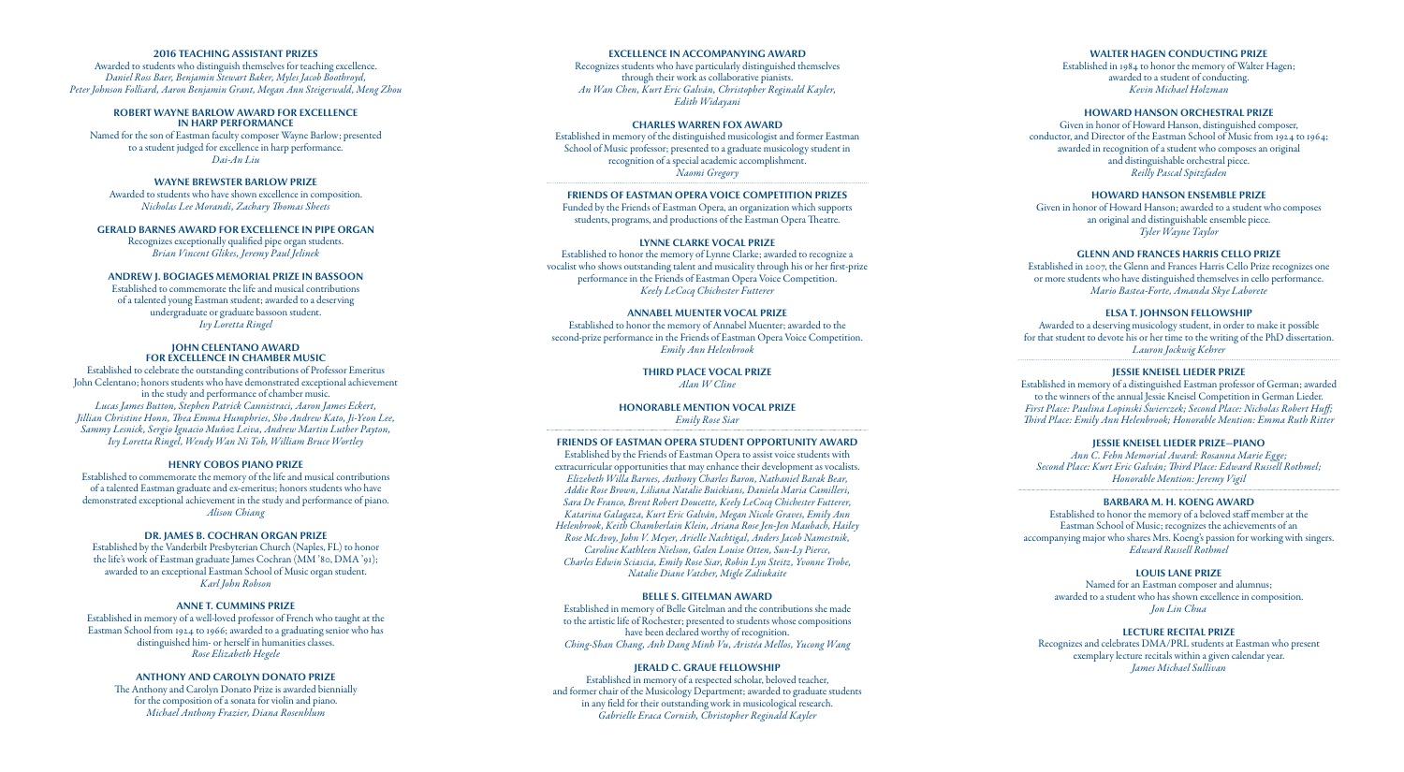## **2016 TEACHING ASSISTANT PRIZES**

Awarded to students who distinguish themselves for teaching excellence. *Daniel Ross Baer, Benjamin Stewart Baker, Myles Jacob Boothroyd, Peter Johnson Folliard, Aaron Benjamin Grant, Megan Ann Steigerwald, Meng Zhou*

#### **ROBERT WAYNE BARLOW AWARD FOR EXCELLENCE IN HARP PERFORMANCE**

Named for the son of Eastman faculty composer Wayne Barlow; presented to a student judged for excellence in harp performance. *Dai-An Liu*

# **WAYNE BREWSTER BARLOW PRIZE**

Awarded to students who have shown excellence in composition. *Nicholas Lee Morandi, Zachary Thomas Sheets*

## **GERALD BARNES AWARD FOR EXCELLENCE IN PIPE ORGAN**

Recognizes exceptionally qualified pipe organ students. *Brian Vincent Glikes, Jeremy Paul Jelinek*

#### **ANDREW J. BOGIAGES MEMORIAL PRIZE IN BASSOON**

Established to commemorate the life and musical contributions of a talented young Eastman student; awarded to a deserving undergraduate or graduate bassoon student. *Ivy Loretta Ringel*

#### **JOHN CELENTANO AWARD FOR EXCELLENCE IN CHAMBER MUSIC**

Established to celebrate the outstanding contributions of Professor Emeritus John Celentano; honors students who have demonstrated exceptional achievement in the study and performance of chamber music. *Lucas James Button, Stephen Patrick Cannistraci, Aaron James Eckert, Jillian Christine Honn, Thea Emma Humphries, Sho Andrew Kato, Ji-Yeon Lee, Sammy Lesnick, Sergio Ignacio Muñoz Leiva, Andrew Martin Luther Payton, Ivy Loretta Ringel, Wendy Wan Ni Toh, William Bruce Wortley*

## **HENRY COBOS PIANO PRIZE**

Established to commemorate the memory of the life and musical contributions of a talented Eastman graduate and ex-emeritus; honors students who have demonstrated exceptional achievement in the study and performance of piano. *Alison Chiang*

## **DR. JAMES B. COCHRAN ORGAN PRIZE**

Established by the Vanderbilt Presbyterian Church (Naples, FL) to honor the life's work of Eastman graduate James Cochran (MM '80, DMA '91); awarded to an exceptional Eastman School of Music organ student. *Karl John Robson*

## **ANNE T. CUMMINS PRIZE**

Established in memory of a well-loved professor of French who taught at the Eastman School from 1924 to 1966; awarded to a graduating senior who has distinguished him- or herself in humanities classes. *Rose Elizabeth Hegele*

#### **ANTHONY AND CAROLYN DONATO PRIZE**

The Anthony and Carolyn Donato Prize is awarded biennially for the composition of a sonata for violin and piano. *Michael Anthony Frazier, Diana Rosenblum*

#### **EXCELLENCE IN ACCOMPANYING AWARD**

Recognizes students who have particularly distinguished themselves through their work as collaborative pianists. *An Wan Chen, Kurt Eric Galván, Christopher Reginald Kayler, Edith Widayani*

## **CHARLES WARREN FOX AWARD**

Established in memory of the distinguished musicologist and former Eastman School of Music professor; presented to a graduate musicology student in recognition of a special academic accomplishment. *Naomi Gregory*

## **FRIENDS OF EASTMAN OPERA VOICE COMPETITION PRIZES**

Funded by the Friends of Eastman Opera, an organization which supports students, programs, and productions of the Eastman Opera Theatre.

# **LYNNE CLARKE VOCAL PRIZE**

Established to honor the memory of Lynne Clarke; awarded to recognize a vocalist who shows outstanding talent and musicality through his or her first-prize performance in the Friends of Eastman Opera Voice Competition. *Keely LeCocq Chichester Futterer*

# **ANNABEL MUENTER VOCAL PRIZE**

Established to honor the memory of Annabel Muenter; awarded to the second-prize performance in the Friends of Eastman Opera Voice Competition. *Emily Ann Helenbrook*

> **THIRD PLACE VOCAL PRIZE** *Alan W Cline*

**HONORABLE MENTION VOCAL PRIZE** *Emily Rose Siar*

# **FRIENDS OF EASTMAN OPERA STUDENT OPPORTUNITY AWARD**

Established by the Friends of Eastman Opera to assist voice students with extracurricular opportunities that may enhance their development as vocalists. *Elizebeth Willa Barnes, Anthony Charles Baron, Nathaniel Barak Bear, Addie Rose Brown, Liliana Natalie Buickians, Daniela Maria Camilleri, Sara De Franco, Brent Robert Doucette, Keely LeCocq Chichester Futterer, Katarina Galagaza, Kurt Eric Galván, Megan Nicole Graves, Emily Ann Helenbrook, Keith Chamberlain Klein, Ariana Rose Jen-Jen Maubach, Hailey Rose McAvoy, John V. Meyer, Arielle Nachtigal, Anders Jacob Namestnik, Caroline Kathleen Nielson, Galen Louise Otten, Sun-Ly Pierce, Charles Edwin Sciascia, Emily Rose Siar, Robin Lyn Steitz, Yvonne Trobe, Natalie Diane Vatcher, Migle Zaliukaite*

#### **BELLE S. GITELMAN AWARD**

Established in memory of Belle Gitelman and the contributions she made to the artistic life of Rochester; presented to students whose compositions have been declared worthy of recognition. *Ching-Shan Chang, Anh Dang Minh Vu, Aristéa Mellos, Yucong Wang* 

#### **JERALD C. GRAUE FELLOWSHIP**

Established in memory of a respected scholar, beloved teacher, and former chair of the Musicology Department; awarded to graduate students in any field for their outstanding work in musicological research. *Gabrielle Eraca Cornish, Christopher Reginald Kayler*

# **WALTER HAGEN CONDUCTING PRIZE**

Established in 1984 to honor the memory of Walter Hagen; awarded to a student of conducting. *Kevin Michael Holzman*

# **HOWARD HANSON ORCHESTRAL PRIZE**

Given in honor of Howard Hanson, distinguished composer, conductor, and Director of the Eastman School of Music from 1924 to 1964; awarded in recognition of a student who composes an original and distinguishable orchestral piece. *Reilly Pascal Spitzfaden*

## **HOWARD HANSON ENSEMBLE PRIZE**

Given in honor of Howard Hanson; awarded to a student who composes an original and distinguishable ensemble piece. *Tyler Wayne Taylor*

# **GLENN AND FRANCES HARRIS CELLO PRIZE**

Established in 2007, the Glenn and Frances Harris Cello Prize recognizes one or more students who have distinguished themselves in cello performance. *Mario Bastea-Forte, Amanda Skye Laborete*

# **ELSA T. JOHNSON FELLOWSHIP**

Awarded to a deserving musicology student, in order to make it possible for that student to devote his or her time to the writing of the PhD dissertation. *Lauron Jockwig Kehrer*

# **JESSIE KNEISEL LIEDER PRIZE**

Established in memory of a distinguished Eastman professor of German; awarded to the winners of the annual Jessie Kneisel Competition in German Lieder. *First Place: Paulina Lopinski Świerczek; Second Place: Nicholas Robert Huff; Third Place: Emily Ann Helenbrook; Honorable Mention: Emma Ruth Ritter*

#### **JESSIE KNEISEL LIEDER PRIZE—PIANO**

*Ann C. Fehn Memorial Award: Rosanna Marie Egge; Second Place: Kurt Eric Galván; Third Place: Edward Russell Rothmel; Honorable Mention: Jeremy Vigil*

# **BARBARA M. H. KOENG AWARD**

Established to honor the memory of a beloved staff member at the Eastman School of Music; recognizes the achievements of an accompanying major who shares Mrs. Koeng's passion for working with singers. *Edward Russell Rothmel*

## **LOUIS LANE PRIZE**

Named for an Eastman composer and alumnus; awarded to a student who has shown excellence in composition. *Jon Lin Chua*

# **LECTURE RECITAL PRIZE**

Recognizes and celebrates DMA/PRL students at Eastman who present exemplary lecture recitals within a given calendar year. *James Michael Sullivan*